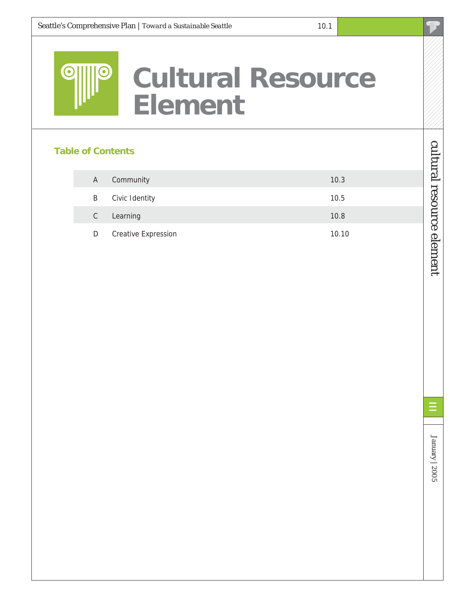

# **Cultural Resource Element**

### **Table of Contents**

| A             | Community                  | 10.3  |
|---------------|----------------------------|-------|
| B             | Civic Identity             | 10.5  |
| $\mathcal{C}$ | Learning                   | 10.8  |
| D             | <b>Creative Expression</b> | 10.10 |

cultural resource element

cultural resource element

January | 2005

January |  $2005$ 

Ξ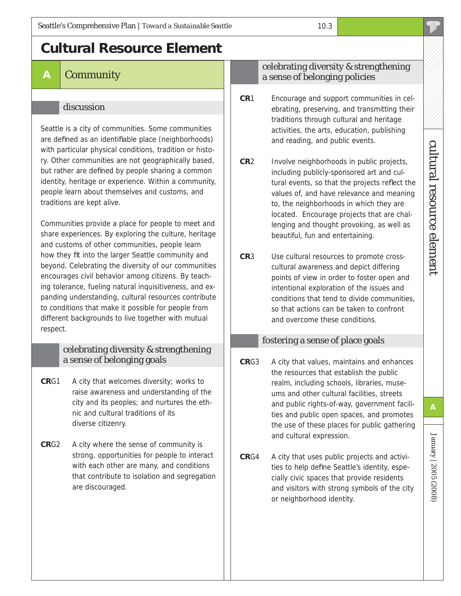# **Cultural Resource Element**

## **A** Community

#### discussion

Seattle is a city of communities. Some communities are defined as an identifiable place (neighborhoods) with particular physical conditions, tradition or history. Other communities are not geographically based, but rather are defined by people sharing a common identity, heritage or experience. Within a community, people learn about themselves and customs, and traditions are kept alive.

Communities provide a place for people to meet and share experiences. By exploring the culture, heritage and customs of other communities, people learn how they fit into the larger Seattle community and beyond. Celebrating the diversity of our communities encourages civil behavior among citizens. By teaching tolerance, fueling natural inquisitiveness, and expanding understanding, cultural resources contribute to conditions that make it possible for people from different backgrounds to live together with mutual respect.

#### celebrating diversity & strengthening a sense of belonging goals

- **CR**G1 A city that welcomes diversity; works to raise awareness and understanding of the city and its peoples; and nurtures the ethnic and cultural traditions of its diverse citizenry.
- **CR**G2 A city where the sense of community is strong, opportunities for people to interact with each other are many, and conditions that contribute to isolation and segregation are discouraged.

#### celebrating diversity & strengthening a sense of belonging policies

- **CR**1 Encourage and support communities in celebrating, preserving, and transmitting their traditions through cultural and heritage activities, the arts, education, publishing and reading, and public events.
- **CR**2 Involve neighborhoods in public projects, including publicly-sponsored art and cultural events, so that the projects reflect the values of, and have relevance and meaning to, the neighborhoods in which they are located. Encourage projects that are challenging and thought provoking, as well as beautiful, fun and entertaining.
- **CR**3 Use cultural resources to promote crosscultural awareness and depict differing points of view in order to foster open and intentional exploration of the issues and conditions that tend to divide communities, so that actions can be taken to confront and overcome these conditions.

#### fostering a sense of place goals

- **CR**G3 A city that values, maintains and enhances the resources that establish the public realm, including schools, libraries, museums and other cultural facilities, streets and public rights-of-way, government facilities and public open spaces, and promotes the use of these places for public gathering and cultural expression.
- **CR**G4 A city that uses public projects and activities to help define Seattle's identity, especially civic spaces that provide residents and visitors with strong symbols of the city or neighborhood identity.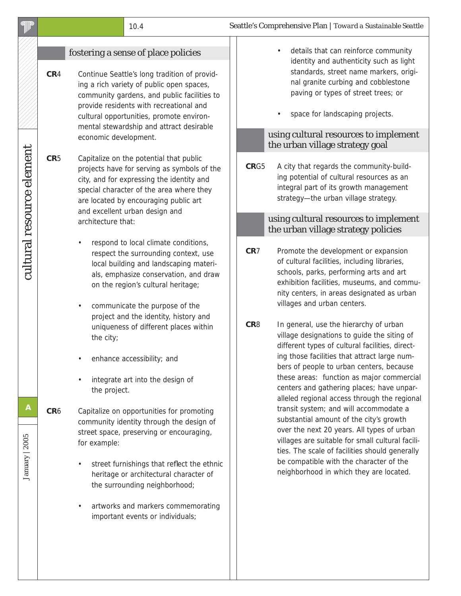| <b>dillo</b>              |                 |                           | 10.4                                                                                                                                                                                                                                                                                                                                                                                        |  |                                    | Seattle's Comprehensive Plan   Toward a Sustainable Seattle                                                                                                                                                                                                                                                                                                                                                                                                                                                                                                                                  |
|---------------------------|-----------------|---------------------------|---------------------------------------------------------------------------------------------------------------------------------------------------------------------------------------------------------------------------------------------------------------------------------------------------------------------------------------------------------------------------------------------|--|------------------------------------|----------------------------------------------------------------------------------------------------------------------------------------------------------------------------------------------------------------------------------------------------------------------------------------------------------------------------------------------------------------------------------------------------------------------------------------------------------------------------------------------------------------------------------------------------------------------------------------------|
|                           | CR <sub>4</sub> |                           | fostering a sense of place policies<br>Continue Seattle's long tradition of provid-<br>ing a rich variety of public open spaces,<br>community gardens, and public facilities to<br>provide residents with recreational and<br>cultural opportunities, promote environ-<br>mental stewardship and attract desirable<br>economic development.                                                 |  |                                    | details that can reinforce community<br>$\bullet$<br>identity and authenticity such as light<br>standards, street name markers, origi-<br>nal granite curbing and cobblestone<br>paving or types of street trees; or<br>space for landscaping projects.<br>using cultural resources to implement<br>the urban village strategy goal                                                                                                                                                                                                                                                          |
| cultural resource element | CR5             |                           | Capitalize on the potential that public<br>projects have for serving as symbols of the<br>city, and for expressing the identity and<br>special character of the area where they<br>are located by encouraging public art<br>and excellent urban design and                                                                                                                                  |  | CRG5                               | A city that regards the community-build-<br>ing potential of cultural resources as an<br>integral part of its growth management<br>strategy-the urban village strategy.                                                                                                                                                                                                                                                                                                                                                                                                                      |
|                           |                 | architecture that:        |                                                                                                                                                                                                                                                                                                                                                                                             |  |                                    | using cultural resources to implement<br>the urban village strategy policies                                                                                                                                                                                                                                                                                                                                                                                                                                                                                                                 |
|                           |                 | the city;<br>the project. | respond to local climate conditions,<br>respect the surrounding context, use<br>local building and landscaping materi-<br>als, emphasize conservation, and draw<br>on the region's cultural heritage;<br>communicate the purpose of the<br>project and the identity, history and<br>uniqueness of different places within<br>enhance accessibility; and<br>integrate art into the design of |  | CR <sub>7</sub><br>CR <sub>8</sub> | Promote the development or expansion<br>of cultural facilities, including libraries,<br>schools, parks, performing arts and art<br>exhibition facilities, museums, and commu-<br>nity centers, in areas designated as urban<br>villages and urban centers.<br>In general, use the hierarchy of urban<br>village designations to guide the siting of<br>different types of cultural facilities, direct-<br>ing those facilities that attract large num-<br>bers of people to urban centers, because<br>these areas: function as major commercial<br>centers and gathering places; have unpar- |
| A<br>January   2005       | CR <sub>6</sub> | for example:              | Capitalize on opportunities for promoting<br>community identity through the design of<br>street space, preserving or encouraging,<br>street furnishings that reflect the ethnic<br>heritage or architectural character of<br>the surrounding neighborhood;<br>artworks and markers commemorating<br>important events or individuals;                                                        |  |                                    | alleled regional access through the regional<br>transit system; and will accommodate a<br>substantial amount of the city's growth<br>over the next 20 years. All types of urban<br>villages are suitable for small cultural facili-<br>ties. The scale of facilities should generally<br>be compatible with the character of the<br>neighborhood in which they are located.                                                                                                                                                                                                                  |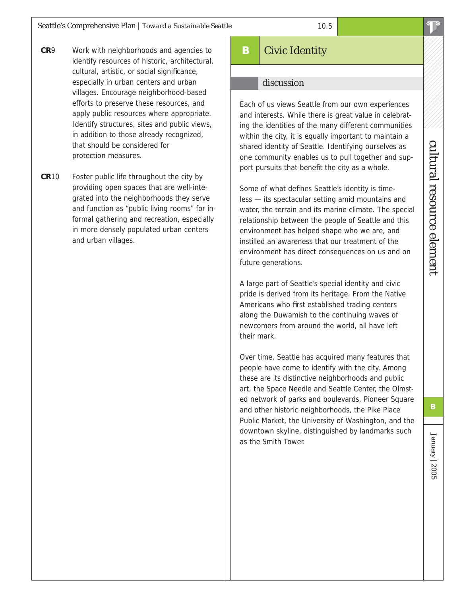- **CR**9 Work with neighborhoods and agencies to identify resources of historic, architectural, cultural, artistic, or social significance, especially in urban centers and urban villages. Encourage neighborhood-based efforts to preserve these resources, and apply public resources where appropriate. Identify structures, sites and public views, in addition to those already recognized, that should be considered for protection measures.
- **CR**10 Foster public life throughout the city by providing open spaces that are well-integrated into the neighborhoods they serve and function as "public living rooms" for informal gathering and recreation, especially in more densely populated urban centers and urban villages.

# **B** Civic Identity

#### discussion

Each of us views Seattle from our own experiences and interests. While there is great value in celebrating the identities of the many different communities within the city, it is equally important to maintain a shared identity of Seattle. Identifying ourselves as one community enables us to pull together and support pursuits that benefit the city as a whole.

Some of what defines Seattle's identity is timeless — its spectacular setting amid mountains and water, the terrain and its marine climate. The special relationship between the people of Seattle and this environment has helped shape who we are, and instilled an awareness that our treatment of the environment has direct consequences on us and on future generations.

A large part of Seattle's special identity and civic pride is derived from its heritage. From the Native Americans who first established trading centers along the Duwamish to the continuing waves of newcomers from around the world, all have left their mark.

Over time, Seattle has acquired many features that people have come to identify with the city. Among these are its distinctive neighborhoods and public art, the Space Needle and Seattle Center, the Olmsted network of parks and boulevards, Pioneer Square and other historic neighborhoods, the Pike Place Public Market, the University of Washington, and the downtown skyline, distinguished by landmarks such as the Smith Tower.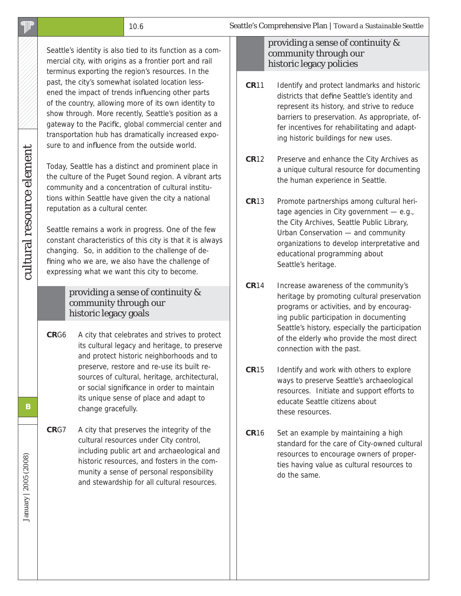Seattle's identity is also tied to its function as a commercial city, with origins as a frontier port and rail terminus exporting the region's resources. In the past, the city's somewhat isolated location lessened the impact of trends influencing other parts of the country, allowing more of its own identity to show through. More recently, Seattle's position as a gateway to the Pacific, global commercial center and transportation hub has dramatically increased exposure to and influence from the outside world.

Today, Seattle has a distinct and prominent place in the culture of the Puget Sound region. A vibrant arts community and a concentration of cultural institutions within Seattle have given the city a national reputation as a cultural center.

Seattle remains a work in progress. One of the few constant characteristics of this city is that it is always changing. So, in addition to the challenge of defining who we are, we also have the challenge of expressing what we want this city to become.

#### providing a sense of continuity & community through our historic legacy goals

- **CR**G6 A city that celebrates and strives to protect its cultural legacy and heritage, to preserve and protect historic neighborhoods and to preserve, restore and re-use its built resources of cultural, heritage, architectural, or social significance in order to maintain its unique sense of place and adapt to change gracefully.
- **CR**G7 A city that preserves the integrity of the cultural resources under City control, including public art and archaeological and historic resources, and fosters in the community a sense of personal responsibility and stewardship for all cultural resources.

#### providing a sense of continuity & community through our historic legacy policies

- **CR**11 Identify and protect landmarks and historic districts that define Seattle's identity and represent its history, and strive to reduce barriers to preservation. As appropriate, offer incentives for rehabilitating and adapting historic buildings for new uses.
- **CR**12 Preserve and enhance the City Archives as a unique cultural resource for documenting the human experience in Seattle.
- **CR**13 Promote partnerships among cultural heritage agencies in City government — e.g., the City Archives, Seattle Public Library, Urban Conservation — and community organizations to develop interpretative and educational programming about Seattle's heritage.
- **CR**14 Increase awareness of the community's heritage by promoting cultural preservation programs or activities, and by encouraging public participation in documenting Seattle's history, especially the participation of the elderly who provide the most direct connection with the past.
- **CR**15 Identify and work with others to explore ways to preserve Seattle's archaeological resources. Initiate and support efforts to educate Seattle citizens about these resources.
- **CR16** Set an example by maintaining a high standard for the care of City-owned cultural resources to encourage owners of properties having value as cultural resources to do the same.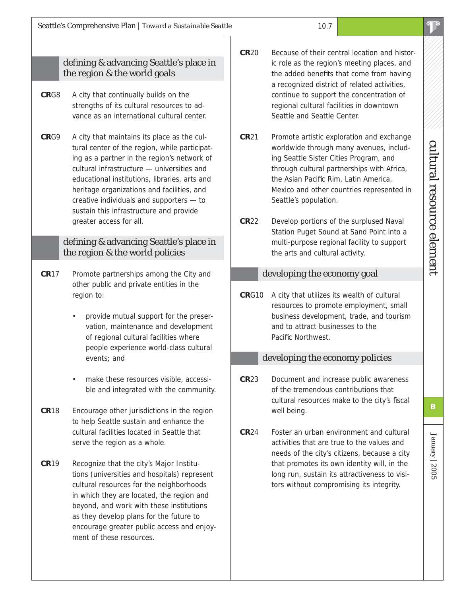#### defining & advancing Seattle's place in the region & the world goals

- **CR**G8 A city that continually builds on the strengths of its cultural resources to advance as an international cultural center.
- **CR**G9 A city that maintains its place as the cultural center of the region, while participating as a partner in the region's network of cultural infrastructure — universities and educational institutions, libraries, arts and heritage organizations and facilities, and creative individuals and supporters — to sustain this infrastructure and provide greater access for all.

#### defining & advancing Seattle's place in the region & the world policies

- **CR**17 Promote partnerships among the City and other public and private entities in the region to:
	- provide mutual support for the preservation, maintenance and development of regional cultural facilities where people experience world-class cultural events; and
	- make these resources visible, accessible and integrated with the community.
- **CR**18 Encourage other jurisdictions in the region to help Seattle sustain and enhance the cultural facilities located in Seattle that serve the region as a whole.
- **CR**19 Recognize that the city's Major Institutions (universities and hospitals) represent cultural resources for the neighborhoods in which they are located, the region and beyond, and work with these institutions as they develop plans for the future to encourage greater public access and enjoyment of these resources.
- **CR**20 Because of their central location and historic role as the region's meeting places, and the added benefits that come from having a recognized district of related activities, continue to support the concentration of regional cultural facilities in downtown Seattle and Seattle Center.
- **CR**21 Promote artistic exploration and exchange worldwide through many avenues, including Seattle Sister Cities Program, and through cultural partnerships with Africa, the Asian Pacific Rim, Latin America, Mexico and other countries represented in Seattle's population.
- **CR**22 Develop portions of the surplused Naval Station Puget Sound at Sand Point into a multi-purpose regional facility to support the arts and cultural activity.

#### developing the economy goal

**CR**G10 A city that utilizes its wealth of cultural resources to promote employment, small business development, trade, and tourism and to attract businesses to the Pacific Northwest.

#### developing the economy policies

- **CR**23 Document and increase public awareness of the tremendous contributions that cultural resources make to the city's fiscal well being.
- **CR**24 Foster an urban environment and cultural activities that are true to the values and needs of the city's citizens, because a city that promotes its own identity will, in the long run, sustain its attractiveness to visitors without compromising its integrity.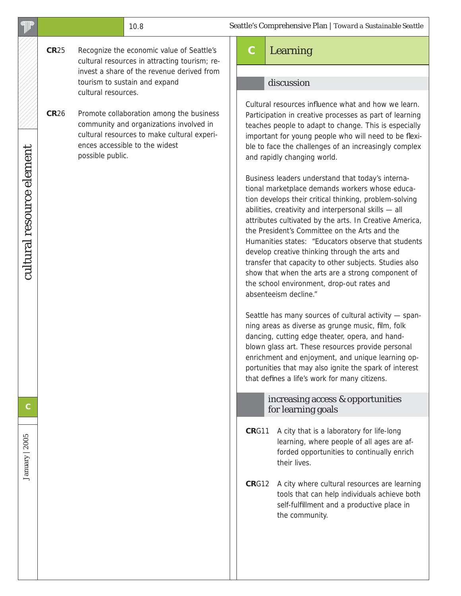| <b>alli</b> la            |                                                                                                                                                                                                         | 10.8                                                                                                                                                                                                                                                                                                                                                                                                                                                                                                                                                                                                                              | Seattle's Comprehensive Plan   Toward a Sustainable Seattle                                                                                                                                                                                                                                                                                                                        |  |  |
|---------------------------|---------------------------------------------------------------------------------------------------------------------------------------------------------------------------------------------------------|-----------------------------------------------------------------------------------------------------------------------------------------------------------------------------------------------------------------------------------------------------------------------------------------------------------------------------------------------------------------------------------------------------------------------------------------------------------------------------------------------------------------------------------------------------------------------------------------------------------------------------------|------------------------------------------------------------------------------------------------------------------------------------------------------------------------------------------------------------------------------------------------------------------------------------------------------------------------------------------------------------------------------------|--|--|
|                           | <b>CR25</b>                                                                                                                                                                                             | Recognize the economic value of Seattle's<br>cultural resources in attracting tourism; re-                                                                                                                                                                                                                                                                                                                                                                                                                                                                                                                                        | $\mathbf C$<br>Learning                                                                                                                                                                                                                                                                                                                                                            |  |  |
|                           |                                                                                                                                                                                                         | invest a share of the revenue derived from                                                                                                                                                                                                                                                                                                                                                                                                                                                                                                                                                                                        |                                                                                                                                                                                                                                                                                                                                                                                    |  |  |
|                           |                                                                                                                                                                                                         | tourism to sustain and expand<br>cultural resources.                                                                                                                                                                                                                                                                                                                                                                                                                                                                                                                                                                              | discussion                                                                                                                                                                                                                                                                                                                                                                         |  |  |
| cultural resource element | <b>CR26</b><br>Promote collaboration among the business<br>community and organizations involved in<br>cultural resources to make cultural experi-<br>ences accessible to the widest<br>possible public. |                                                                                                                                                                                                                                                                                                                                                                                                                                                                                                                                                                                                                                   | Cultural resources influence what and how we learn.<br>Participation in creative processes as part of learning<br>teaches people to adapt to change. This is especially<br>important for young people who will need to be flexi-<br>ble to face the challenges of an increasingly complex<br>and rapidly changing world.                                                           |  |  |
|                           |                                                                                                                                                                                                         | Business leaders understand that today's interna-<br>tional marketplace demands workers whose educa-<br>tion develops their critical thinking, problem-solving<br>abilities, creativity and interpersonal skills - all<br>attributes cultivated by the arts. In Creative America,<br>the President's Committee on the Arts and the<br>Humanities states: "Educators observe that students<br>develop creative thinking through the arts and<br>transfer that capacity to other subjects. Studies also<br>show that when the arts are a strong component of<br>the school environment, drop-out rates and<br>absenteeism decline." |                                                                                                                                                                                                                                                                                                                                                                                    |  |  |
|                           |                                                                                                                                                                                                         |                                                                                                                                                                                                                                                                                                                                                                                                                                                                                                                                                                                                                                   | Seattle has many sources of cultural activity - span-<br>ning areas as diverse as grunge music, film, folk<br>dancing, cutting edge theater, opera, and hand-<br>blown glass art. These resources provide personal<br>enrichment and enjoyment, and unique learning op-<br>portunities that may also ignite the spark of interest<br>that defines a life's work for many citizens. |  |  |
| С                         |                                                                                                                                                                                                         |                                                                                                                                                                                                                                                                                                                                                                                                                                                                                                                                                                                                                                   | increasing access & opportunities<br>for learning goals                                                                                                                                                                                                                                                                                                                            |  |  |
| January   2005            |                                                                                                                                                                                                         |                                                                                                                                                                                                                                                                                                                                                                                                                                                                                                                                                                                                                                   | A city that is a laboratory for life-long<br>CRG11<br>learning, where people of all ages are af-<br>forded opportunities to continually enrich<br>their lives.                                                                                                                                                                                                                     |  |  |
|                           |                                                                                                                                                                                                         |                                                                                                                                                                                                                                                                                                                                                                                                                                                                                                                                                                                                                                   | CRG12<br>A city where cultural resources are learning<br>tools that can help individuals achieve both<br>self-fulfillment and a productive place in<br>the community.                                                                                                                                                                                                              |  |  |
|                           |                                                                                                                                                                                                         |                                                                                                                                                                                                                                                                                                                                                                                                                                                                                                                                                                                                                                   |                                                                                                                                                                                                                                                                                                                                                                                    |  |  |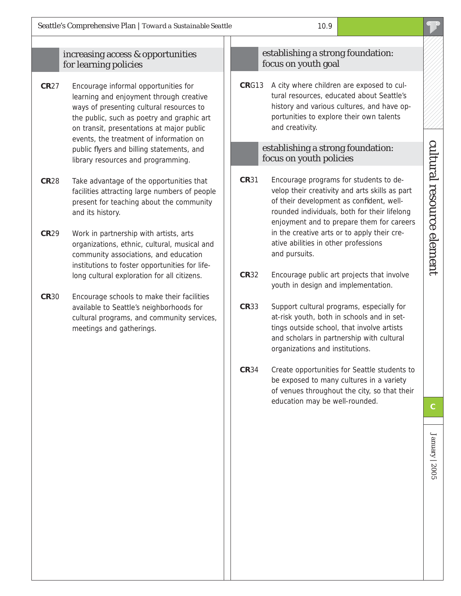#### increasing access & opportunities for learning policies

- **CR**27 Encourage informal opportunities for learning and enjoyment through creative ways of presenting cultural resources to the public, such as poetry and graphic art on transit, presentations at major public events, the treatment of information on public flyers and billing statements, and library resources and programming.
- **CR**28 Take advantage of the opportunities that facilities attracting large numbers of people present for teaching about the community and its history.
- **CR**29 Work in partnership with artists, arts organizations, ethnic, cultural, musical and community associations, and education institutions to foster opportunities for lifelong cultural exploration for all citizens.
- **CR**30 Encourage schools to make their facilities available to Seattle's neighborhoods for cultural programs, and community services, meetings and gatherings.

#### establishing a strong foundation: focus on youth goal

**CR**G13 A city where children are exposed to cultural resources, educated about Seattle's history and various cultures, and have opportunities to explore their own talents and creativity.

#### establishing a strong foundation: focus on youth policies

- **CR**31 Encourage programs for students to develop their creativity and arts skills as part of their development as confident, wellrounded individuals, both for their lifelong enjoyment and to prepare them for careers in the creative arts or to apply their creative abilities in other professions and pursuits.
- **CR**32 Encourage public art projects that involve youth in design and implementation.
- **CR**33 Support cultural programs, especially for at-risk youth, both in schools and in settings outside school, that involve artists and scholars in partnership with cultural organizations and institutions.
- **CR**34 Create opportunities for Seattle students to be exposed to many cultures in a variety of venues throughout the city, so that their education may be well-rounded. **C**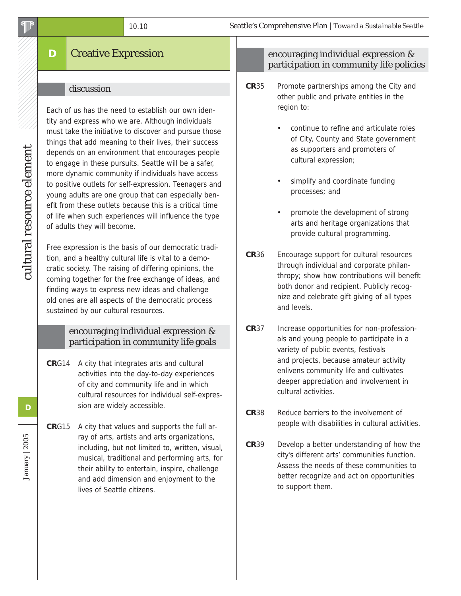# **D** Creative Expression

#### discussion

Each of us has the need to establish our own identity and express who we are. Although individuals must take the initiative to discover and pursue those things that add meaning to their lives, their success depends on an environment that encourages people to engage in these pursuits. Seattle will be a safer, more dynamic community if individuals have access to positive outlets for self-expression. Teenagers and young adults are one group that can especially benefit from these outlets because this is a critical time of life when such experiences will influence the type of adults they will become.

Free expression is the basis of our democratic tradition, and a healthy cultural life is vital to a democratic society. The raising of differing opinions, the coming together for the free exchange of ideas, and finding ways to express new ideas and challenge old ones are all aspects of the democratic process sustained by our cultural resources.

#### encouraging individual expression & participation in community life goals

**CR**G14 A city that integrates arts and cultural activities into the day-to-day experiences of city and community life and in which cultural resources for individual self-expression are widely accessible.

**CR**G15 A city that values and supports the full array of arts, artists and arts organizations, including, but not limited to, written, visual, musical, traditional and performing arts, for their ability to entertain, inspire, challenge and add dimension and enjoyment to the lives of Seattle citizens.

#### encouraging individual expression & participation in community life policies

- **CR**35 Promote partnerships among the City and other public and private entities in the region to:
	- continue to refine and articulate roles of City, County and State government as supporters and promoters of cultural expression;
	- simplify and coordinate funding processes; and
	- promote the development of strong arts and heritage organizations that provide cultural programming.
- **CR**36 Encourage support for cultural resources through individual and corporate philanthropy; show how contributions will benefit both donor and recipient. Publicly recognize and celebrate gift giving of all types and levels.
- **CR**37 Increase opportunities for non-professionals and young people to participate in a variety of public events, festivals and projects, because amateur activity enlivens community life and cultivates deeper appreciation and involvement in cultural activities.
- **CR**38 Reduce barriers to the involvement of people with disabilities in cultural activities.
- **CR**39 Develop a better understanding of how the city's different arts' communities function. Assess the needs of these communities to better recognize and act on opportunities to support them.

January | 2005

January | 2005